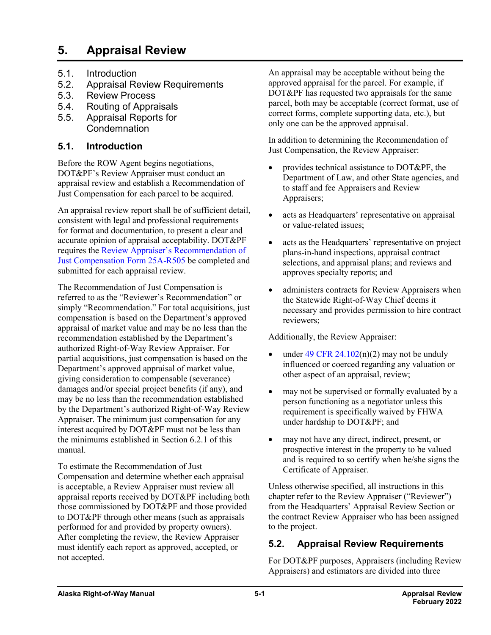# **5. Appraisal Review**

- 5.1. Introduction
- 5.2. Appraisal Review Requirements
- 5.3. Review Process
- 5.4. Routing of Appraisals
- 5.5. Appraisal Reports for **Condemnation**

#### **5.1. Introduction**

Before the ROW Agent begins negotiations, DOT&PF's Review Appraiser must conduct an appraisal review and establish a Recommendation of Just Compensation for each parcel to be acquired.

An appraisal review report shall be of sufficient detail, consistent with legal and professional requirements for format and documentation, to present a clear and accurate opinion of appraisal acceptability. DOT&PF requires the [Review Appraiser's Recommendation of](http://www.dot.state.ak.us/stwddes/dcsrow/assets/pdf/forms/25ar505.pdf)  [Just Compensation Form](http://www.dot.state.ak.us/stwddes/dcsrow/assets/pdf/forms/25ar505.pdf) 25A-R505 be completed and submitted for each appraisal review.

The Recommendation of Just Compensation is referred to as the "Reviewer's Recommendation" or simply "Recommendation." For total acquisitions, just compensation is based on the Department's approved appraisal of market value and may be no less than the recommendation established by the Department's authorized Right-of-Way Review Appraiser. For partial acquisitions, just compensation is based on the Department's approved appraisal of market value, giving consideration to compensable (severance) damages and/or special project benefits (if any), and may be no less than the recommendation established by the Department's authorized Right-of-Way Review Appraiser. The minimum just compensation for any interest acquired by DOT&PF must not be less than the minimums established in Section 6.2.1 of this manual.

To estimate the Recommendation of Just Compensation and determine whether each appraisal is acceptable, a Review Appraiser must review all appraisal reports received by DOT&PF including both those commissioned by DOT&PF and those provided to DOT&PF through other means (such as appraisals performed for and provided by property owners). After completing the review, the Review Appraiser must identify each report as approved, accepted, or not accepted.

An appraisal may be acceptable without being the approved appraisal for the parcel. For example, if DOT&PF has requested two appraisals for the same parcel, both may be acceptable (correct format, use of correct forms, complete supporting data, etc.), but only one can be the approved appraisal.

In addition to determining the Recommendation of Just Compensation, the Review Appraiser:

- provides technical assistance to DOT&PF, the Department of Law, and other State agencies, and to staff and fee Appraisers and Review Appraisers;
- acts as Headquarters' representative on appraisal or value-related issues;
- acts as the Headquarters' representative on project plans-in-hand inspections, appraisal contract selections, and appraisal plans; and reviews and approves specialty reports; and
- administers contracts for Review Appraisers when the Statewide Right-of-Way Chief deems it necessary and provides permission to hire contract reviewers;

Additionally, the Review Appraiser:

- under 49 CFR  $24.102(n)(2)$  $24.102(n)(2)$  may not be unduly influenced or coerced regarding any valuation or other aspect of an appraisal, review;
- may not be supervised or formally evaluated by a person functioning as a negotiator unless this requirement is specifically waived by FHWA under hardship to DOT&PF; and
- may not have any direct, indirect, present, or prospective interest in the property to be valued and is required to so certify when he/she signs the Certificate of Appraiser.

Unless otherwise specified, all instructions in this chapter refer to the Review Appraiser ("Reviewer") from the Headquarters' Appraisal Review Section or the contract Review Appraiser who has been assigned to the project.

# **5.2. Appraisal Review Requirements**

For DOT&PF purposes, Appraisers (including Review Appraisers) and estimators are divided into three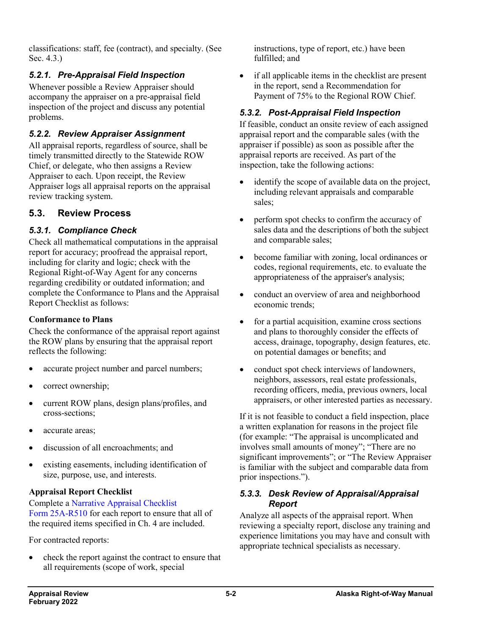classifications: staff, fee (contract), and specialty. (See Sec. 4.3.)

# *5.2.1. Pre-Appraisal Field Inspection*

Whenever possible a Review Appraiser should accompany the appraiser on a pre-appraisal field inspection of the project and discuss any potential problems.

# *5.2.2. Review Appraiser Assignment*

All appraisal reports, regardless of source, shall be timely transmitted directly to the Statewide ROW Chief, or delegate, who then assigns a Review Appraiser to each. Upon receipt, the Review Appraiser logs all appraisal reports on the appraisal review tracking system.

# **5.3. Review Process**

## *5.3.1. Compliance Check*

Check all mathematical computations in the appraisal report for accuracy; proofread the appraisal report, including for clarity and logic; check with the Regional Right-of-Way Agent for any concerns regarding credibility or outdated information; and complete the Conformance to Plans and the Appraisal Report Checklist as follows:

#### **Conformance to Plans**

Check the conformance of the appraisal report against the ROW plans by ensuring that the appraisal report reflects the following:

- accurate project number and parcel numbers;
- correct ownership;
- current ROW plans, design plans/profiles, and cross-sections;
- accurate areas;
- discussion of all encroachments; and
- existing easements, including identification of size, purpose, use, and interests.

### **Appraisal Report Checklist**

Complete a [Narrative Appraisal Checklist](http://www.dot.state.ak.us/stwddes/dcsrow/assets/pdf/forms/25ar510.pdf)  Form [25A-R510](http://www.dot.state.ak.us/stwddes/dcsrow/assets/pdf/forms/25ar510.pdf) for each report to ensure that all of the required items specified in Ch. 4 are included.

For contracted reports:

• check the report against the contract to ensure that all requirements (scope of work, special

instructions, type of report, etc.) have been fulfilled; and

• if all applicable items in the checklist are present in the report, send a Recommendation for Payment of 75% to the Regional ROW Chief.

# *5.3.2. Post-Appraisal Field Inspection*

If feasible, conduct an onsite review of each assigned appraisal report and the comparable sales (with the appraiser if possible) as soon as possible after the appraisal reports are received. As part of the inspection, take the following actions:

- identify the scope of available data on the project, including relevant appraisals and comparable sales;
- perform spot checks to confirm the accuracy of sales data and the descriptions of both the subject and comparable sales;
- become familiar with zoning, local ordinances or codes, regional requirements, etc. to evaluate the appropriateness of the appraiser's analysis;
- conduct an overview of area and neighborhood economic trends;
- for a partial acquisition, examine cross sections and plans to thoroughly consider the effects of access, drainage, topography, design features, etc. on potential damages or benefits; and
- conduct spot check interviews of landowners, neighbors, assessors, real estate professionals, recording officers, media, previous owners, local appraisers, or other interested parties as necessary.

If it is not feasible to conduct a field inspection, place a written explanation for reasons in the project file (for example: "The appraisal is uncomplicated and involves small amounts of money"; "There are no significant improvements"; or "The Review Appraiser is familiar with the subject and comparable data from prior inspections.").

#### *5.3.3. Desk Review of Appraisal/Appraisal Report*

Analyze all aspects of the appraisal report. When reviewing a specialty report, disclose any training and experience limitations you may have and consult with appropriate technical specialists as necessary.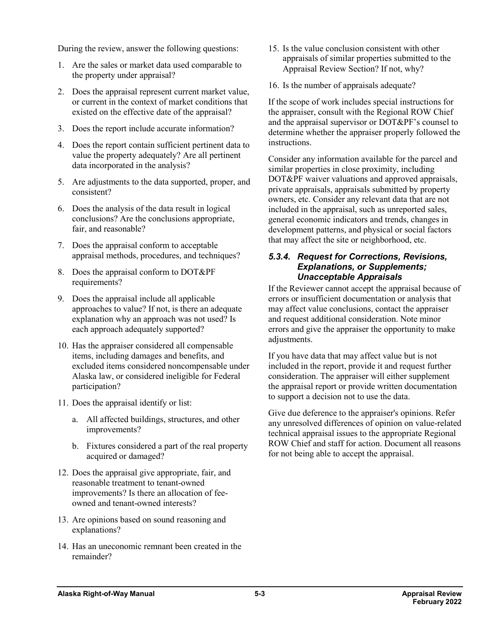During the review, answer the following questions:

- 1. Are the sales or market data used comparable to the property under appraisal?
- 2. Does the appraisal represent current market value, or current in the context of market conditions that existed on the effective date of the appraisal?
- 3. Does the report include accurate information?
- 4. Does the report contain sufficient pertinent data to value the property adequately? Are all pertinent data incorporated in the analysis?
- 5. Are adjustments to the data supported, proper, and consistent?
- 6. Does the analysis of the data result in logical conclusions? Are the conclusions appropriate, fair, and reasonable?
- 7. Does the appraisal conform to acceptable appraisal methods, procedures, and techniques?
- 8. Does the appraisal conform to DOT&PF requirements?
- 9. Does the appraisal include all applicable approaches to value? If not, is there an adequate explanation why an approach was not used? Is each approach adequately supported?
- 10. Has the appraiser considered all compensable items, including damages and benefits, and excluded items considered noncompensable under Alaska law, or considered ineligible for Federal participation?
- 11. Does the appraisal identify or list:
	- a. All affected buildings, structures, and other improvements?
	- b. Fixtures considered a part of the real property acquired or damaged?
- 12. Does the appraisal give appropriate, fair, and reasonable treatment to tenant-owned improvements? Is there an allocation of feeowned and tenant-owned interests?
- 13. Are opinions based on sound reasoning and explanations?
- 14. Has an uneconomic remnant been created in the remainder?
- 15. Is the value conclusion consistent with other appraisals of similar properties submitted to the Appraisal Review Section? If not, why?
- 16. Is the number of appraisals adequate?

If the scope of work includes special instructions for the appraiser, consult with the Regional ROW Chief and the appraisal supervisor or DOT&PF's counsel to determine whether the appraiser properly followed the instructions.

Consider any information available for the parcel and similar properties in close proximity, including DOT&PF waiver valuations and approved appraisals, private appraisals, appraisals submitted by property owners, etc. Consider any relevant data that are not included in the appraisal, such as unreported sales, general economic indicators and trends, changes in development patterns, and physical or social factors that may affect the site or neighborhood, etc.

#### *5.3.4. Request for Corrections, Revisions, Explanations, or Supplements; Unacceptable Appraisals*

If the Reviewer cannot accept the appraisal because of errors or insufficient documentation or analysis that may affect value conclusions, contact the appraiser and request additional consideration. Note minor errors and give the appraiser the opportunity to make adjustments.

If you have data that may affect value but is not included in the report, provide it and request further consideration. The appraiser will either supplement the appraisal report or provide written documentation to support a decision not to use the data.

Give due deference to the appraiser's opinions. Refer any unresolved differences of opinion on value-related technical appraisal issues to the appropriate Regional ROW Chief and staff for action. Document all reasons for not being able to accept the appraisal.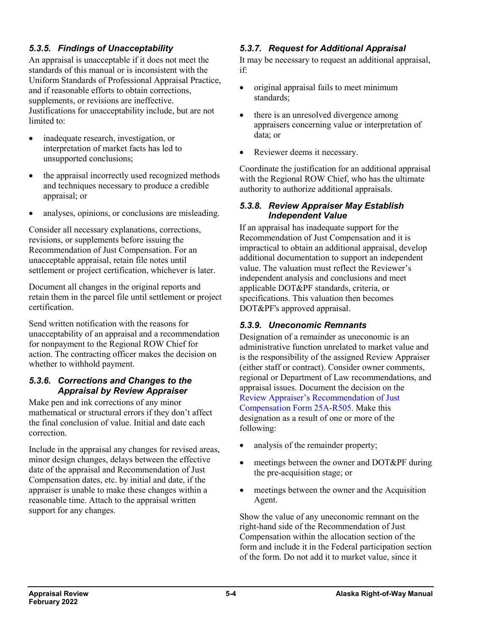## *5.3.5. Findings of Unacceptability*

An appraisal is unacceptable if it does not meet the standards of this manual or is inconsistent with the Uniform Standards of Professional Appraisal Practice, and if reasonable efforts to obtain corrections, supplements, or revisions are ineffective. Justifications for unacceptability include, but are not limited to:

- inadequate research, investigation, or interpretation of market facts has led to unsupported conclusions;
- the appraisal incorrectly used recognized methods and techniques necessary to produce a credible appraisal; or
- analyses, opinions, or conclusions are misleading.

Consider all necessary explanations, corrections, revisions, or supplements before issuing the Recommendation of Just Compensation. For an unacceptable appraisal, retain file notes until settlement or project certification, whichever is later.

Document all changes in the original reports and retain them in the parcel file until settlement or project certification.

Send written notification with the reasons for unacceptability of an appraisal and a recommendation for nonpayment to the Regional ROW Chief for action. The contracting officer makes the decision on whether to withhold payment.

#### *5.3.6. Corrections and Changes to the Appraisal by Review Appraiser*

Make pen and ink corrections of any minor mathematical or structural errors if they don't affect the final conclusion of value. Initial and date each correction.

Include in the appraisal any changes for revised areas, minor design changes, delays between the effective date of the appraisal and Recommendation of Just Compensation dates, etc. by initial and date, if the appraiser is unable to make these changes within a reasonable time. Attach to the appraisal written support for any changes.

# *5.3.7. Request for Additional Appraisal*

It may be necessary to request an additional appraisal, if:

- original appraisal fails to meet minimum standards;
- there is an unresolved divergence among appraisers concerning value or interpretation of data; or
- Reviewer deems it necessary.

Coordinate the justification for an additional appraisal with the Regional ROW Chief, who has the ultimate authority to authorize additional appraisals.

#### *5.3.8. Review Appraiser May Establish Independent Value*

If an appraisal has inadequate support for the Recommendation of Just Compensation and it is impractical to obtain an additional appraisal, develop additional documentation to support an independent value. The valuation must reflect the Reviewer's independent analysis and conclusions and meet applicable DOT&PF standards, criteria, or specifications. This valuation then becomes DOT&PF's approved appraisal.

### *5.3.9. Uneconomic Remnants*

Designation of a remainder as uneconomic is an administrative function unrelated to market value and is the responsibility of the assigned Review Appraiser (either staff or contract). Consider owner comments, regional or Department of Law recommendations, and appraisal issues. Document the decision on the [Review Appraiser's Recommendation of Just](http://www.dot.state.ak.us/stwddes/dcsrow/assets/pdf/forms/25ar505.pdf)  [Compensation Form](http://www.dot.state.ak.us/stwddes/dcsrow/assets/pdf/forms/25ar505.pdf) 25A-R505. Make this designation as a result of one or more of the following:

- analysis of the remainder property;
- meetings between the owner and DOT&PF during the pre-acquisition stage; or
- meetings between the owner and the Acquisition Agent.

Show the value of any uneconomic remnant on the right-hand side of the Recommendation of Just Compensation within the allocation section of the form and include it in the Federal participation section of the form. Do not add it to market value, since it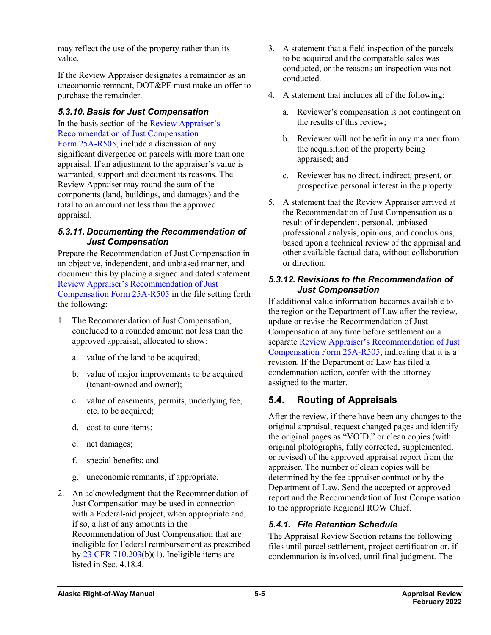may reflect the use of the property rather than its value.

If the Review Appraiser designates a remainder as an uneconomic remnant, DOT&PF must make an offer to purchase the remainder.

### *5.3.10. Basis for Just Compensation*

In the basis section of the [Review Appraiser's](http://www.dot.state.ak.us/stwddes/dcsrow/assets/pdf/forms/25ar505.pdf)  [Recommendation of Just Compensation](http://www.dot.state.ak.us/stwddes/dcsrow/assets/pdf/forms/25ar505.pdf)  Form [25A-R505,](http://www.dot.state.ak.us/stwddes/dcsrow/assets/pdf/forms/25ar505.pdf) include a discussion of any significant divergence on parcels with more than one appraisal. If an adjustment to the appraiser's value is warranted, support and document its reasons. The Review Appraiser may round the sum of the components (land, buildings, and damages) and the total to an amount not less than the approved appraisal.

#### *5.3.11. Documenting the Recommendation of Just Compensation*

Prepare the Recommendation of Just Compensation in an objective, independent, and unbiased manner, and document this by placing a signed and dated statement [Review Appraiser's Recommendation](http://www.dot.state.ak.us/stwddes/dcsrow/assets/pdf/forms/25ar505.pdf) of Just [Compensation Form](http://www.dot.state.ak.us/stwddes/dcsrow/assets/pdf/forms/25ar505.pdf) 25A-R505 in the file setting forth the following:

- 1. The Recommendation of Just Compensation, concluded to a rounded amount not less than the approved appraisal, allocated to show:
	- a. value of the land to be acquired;
	- b. value of major improvements to be acquired (tenant-owned and owner);
	- c. value of easements, permits, underlying fee, etc. to be acquired;
	- d. cost-to-cure items;
	- e. net damages;
	- f. special benefits; and
	- g. uneconomic remnants, if appropriate.
- 2. An acknowledgment that the Recommendation of Just Compensation may be used in connection with a Federal-aid project, when appropriate and, if so, a list of any amounts in the Recommendation of Just Compensation that are ineligible for Federal reimbursement as prescribed by 23 CFR [710.203\(](https://www.ecfr.gov/cgi-bin/retrieveECFR?gp=&SID=132a87db643dd945cb90387028e2f748&mc=true&n=pt23.1.710&r=PART&ty=HTML#se23.1.710_1203)b)(1). Ineligible items are listed in Sec. 4.18.4.
- 3. A statement that a field inspection of the parcels to be acquired and the comparable sales was conducted, or the reasons an inspection was not conducted.
- 4. A statement that includes all of the following:
	- a. Reviewer's compensation is not contingent on the results of this review;
	- b. Reviewer will not benefit in any manner from the acquisition of the property being appraised; and
	- c. Reviewer has no direct, indirect, present, or prospective personal interest in the property.
- 5. A statement that the Review Appraiser arrived at the Recommendation of Just Compensation as a result of independent, personal, unbiased professional analysis, opinions, and conclusions, based upon a technical review of the appraisal and other available factual data, without collaboration or direction.

#### *5.3.12. Revisions to the Recommendation of Just Compensation*

If additional value information becomes available to the region or the Department of Law after the review, update or revise the Recommendation of Just Compensation at any time before settlement on a separate [Review Appraiser's Recommendation](http://www.dot.state.ak.us/stwddes/dcsrow/assets/pdf/forms/25ar505.pdf) of Just [Compensation Form](http://www.dot.state.ak.us/stwddes/dcsrow/assets/pdf/forms/25ar505.pdf) 25A-R505, indicating that it is a revision. If the Department of Law has filed a condemnation action, confer with the attorney assigned to the matter.

# **5.4. Routing of Appraisals**

After the review, if there have been any changes to the original appraisal, request changed pages and identify the original pages as "VOID," or clean copies (with original photographs, fully corrected, supplemented, or revised) of the approved appraisal report from the appraiser. The number of clean copies will be determined by the fee appraiser contract or by the Department of Law. Send the accepted or approved report and the Recommendation of Just Compensation to the appropriate Regional ROW Chief.

### *5.4.1. File Retention Schedule*

The Appraisal Review Section retains the following files until parcel settlement, project certification or, if condemnation is involved, until final judgment. The